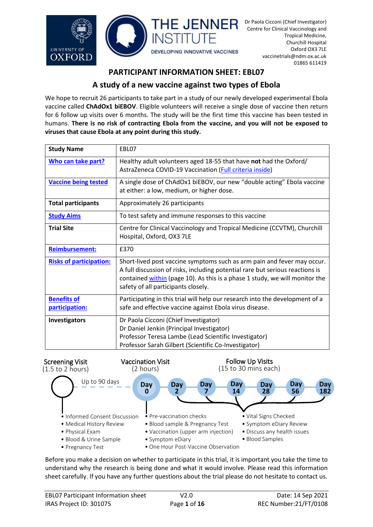

# **PARTICIPANT INFORMATION SHEET: EBL07**

# **A study of a new vaccine against two types of Ebola**

We hope to recruit 26 participants to take part in a study of our newly developed experimental Ebola vaccine called **ChAdOx1 biEBOV**. Eligible volunteers will receive a single dose of vaccine then return for 6 follow up visits over 6 months. The study will be the first time this vaccine has been tested in humans. **There is no risk of contracting Ebola from the vaccine, and you will not be exposed to viruses that cause Ebola at any point during this study.**

| <b>Study Name</b>              | EBL07                                                                                                                                                                                                                                                                          |
|--------------------------------|--------------------------------------------------------------------------------------------------------------------------------------------------------------------------------------------------------------------------------------------------------------------------------|
| Who can take part?             | Healthy adult volunteers aged 18-55 that have not had the Oxford/<br>AstraZeneca COVID-19 Vaccination (Full criteria inside)                                                                                                                                                   |
| <b>Vaccine being tested</b>    | A single dose of ChAdOx1 biEBOV, our new "double acting" Ebola vaccine<br>at either: a low, medium, or higher dose.                                                                                                                                                            |
| <b>Total participants</b>      | Approximately 26 participants                                                                                                                                                                                                                                                  |
| <b>Study Aims</b>              | To test safety and immune responses to this vaccine                                                                                                                                                                                                                            |
| <b>Trial Site</b>              | Centre for Clinical Vaccinology and Tropical Medicine (CCVTM), Churchill<br>Hospital, Oxford, OX3 7LE                                                                                                                                                                          |
| <b>Reimbursement:</b>          | £370                                                                                                                                                                                                                                                                           |
| <b>Risks of participation:</b> | Short-lived post vaccine symptoms such as arm pain and fever may occur.<br>A full discussion of risks, including potential rare but serious reactions is<br>contained within (page 10). As this is a phase 1 study, we will monitor the<br>safety of all participants closely. |
| <b>Benefits of</b>             | Participating in this trial will help our research into the development of a                                                                                                                                                                                                   |
|                                |                                                                                                                                                                                                                                                                                |
| <b>Investigators</b>           | Dr Paola Cicconi (Chief Investigator)<br>Dr Daniel Jenkin (Principal Investigator)<br>Professor Teresa Lambe (Lead Scientific Investigator)                                                                                                                                    |
| participation:                 | safe and effective vaccine against Ebola virus disease.<br>Professor Sarah Gilbert (Scientific Co-Investigator)                                                                                                                                                                |



Before you make a decision on whether to participate in this trial, it is important you take the time to understand why the research is being done and what it would involve. Please read this information sheet carefully. If you have any further questions about the trial please do not hesitate to contact us.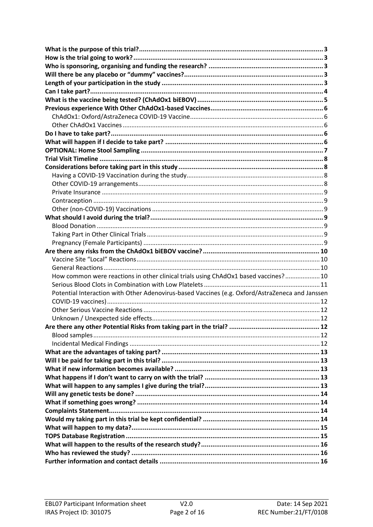<span id="page-1-0"></span>

| How common were reactions in other clinical trials using ChAdOx1 based vaccines? 10             |  |  |  |
|-------------------------------------------------------------------------------------------------|--|--|--|
|                                                                                                 |  |  |  |
| Potential Interaction with Other Adenovirus-based Vaccines (e.g. Oxford/AstraZeneca and Janssen |  |  |  |
|                                                                                                 |  |  |  |
|                                                                                                 |  |  |  |
|                                                                                                 |  |  |  |
|                                                                                                 |  |  |  |
|                                                                                                 |  |  |  |
|                                                                                                 |  |  |  |
|                                                                                                 |  |  |  |
|                                                                                                 |  |  |  |
|                                                                                                 |  |  |  |
|                                                                                                 |  |  |  |
|                                                                                                 |  |  |  |
|                                                                                                 |  |  |  |
|                                                                                                 |  |  |  |
|                                                                                                 |  |  |  |
|                                                                                                 |  |  |  |
|                                                                                                 |  |  |  |
|                                                                                                 |  |  |  |
|                                                                                                 |  |  |  |
|                                                                                                 |  |  |  |
|                                                                                                 |  |  |  |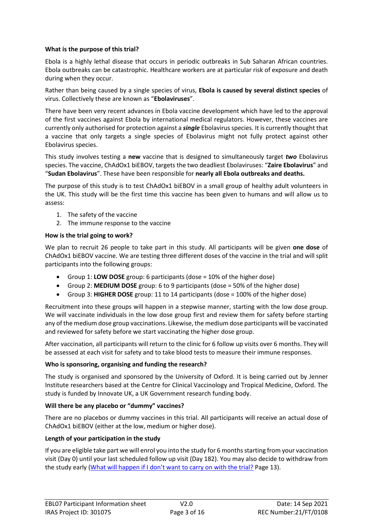# <span id="page-2-1"></span>**What is the purpose of this trial?**

Ebola is a highly lethal disease that occurs in periodic outbreaks in Sub Saharan African countries. Ebola outbreaks can be catastrophic. Healthcare workers are at particular risk of exposure and death during when they occur.

Rather than being caused by a single species of virus, **Ebola is caused by several distinct species** of virus. Collectively these are known as "**Ebolaviruses**".

There have been very recent advances in Ebola vaccine development which have led to the approval of the first vaccines against Ebola by international medical regulators. However, these vaccines are currently only authorised for protection against a *single* Ebolavirus species. It is currently thought that a vaccine that only targets a single species of Ebolavirus might not fully protect against other Ebolavirus species.

This study involves testing a **new** vaccine that is designed to simultaneously target *two* Ebolavirus species. The vaccine, ChAdOx1 biEBOV, targets the two deadliest Ebolaviruses: "**Zaire Ebolavirus**" and "**Sudan Ebolavirus**". These have been responsible for **nearly all Ebola outbreaks and deaths.**

The purpose of this study is to test ChAdOx1 biEBOV in a small group of healthy adult volunteers in the UK. This study will be the first time this vaccine has been given to humans and will allow us to assess:

- 1. The safety of the vaccine
- 2. The immune response to the vaccine

# <span id="page-2-2"></span>**How is the trial going to work?**

We plan to recruit 26 people to take part in this study. All participants will be given **one dose** of ChAdOx1 biEBOV vaccine. We are testing three different doses of the vaccine in the trial and will split participants into the following groups:

- Group 1: **LOW DOSE** group: 6 participants (dose = 10% of the higher dose)
- Group 2: **MEDIUM DOSE** group: 6 to 9 participants (dose = 50% of the higher dose)
- Group 3: **HIGHER DOSE** group: 11 to 14 participants (dose = 100% of the higher dose)

Recruitment into these groups will happen in a stepwise manner, starting with the low dose group. We will vaccinate individuals in the low dose group first and review them for safety before starting any of the medium dose group vaccinations. Likewise, the medium dose participants will be vaccinated and reviewed for safety before we start vaccinating the higher dose group.

After vaccination, all participants will return to the clinic for 6 follow up visits over 6 months. They will be assessed at each visit for safety and to take blood tests to measure their immune responses.

## <span id="page-2-3"></span>**Who is sponsoring, organising and funding the research?**

The study is organised and sponsored by the University of Oxford. It is being carried out by Jenner Institute researchers based at the Centre for Clinical Vaccinology and Tropical Medicine, Oxford. The study is funded by Innovate UK, a UK Government research funding body.

## <span id="page-2-4"></span>**Will there be any placebo or "dummy" vaccines?**

There are no placebos or dummy vaccines in this trial. All participants will receive an actual dose of ChAdOx1 biEBOV (either at the low, medium or higher dose).

## <span id="page-2-5"></span>**Length of your participation in the study**

<span id="page-2-0"></span>If you are eligible take part we will enrol you into the study for 6 months starting from your vaccination visit (Day 0) until your last scheduled follow up visit (Day 182). You may also decide to withdraw from the study early ([What will happen if I don't want to carry on with the trial?](#page-12-3) Page [13\)](#page-12-3).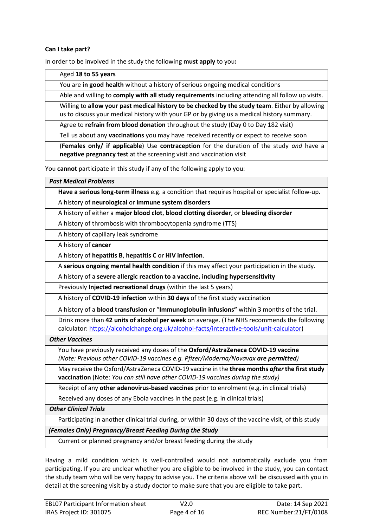## <span id="page-3-0"></span>**Can I take part?**

In order to be involved in the study the following **must apply** to you**:**

Aged **18 to 55 years** You are **in good health** without a history of serious ongoing medical conditions Able and willing to **comply with all study requirements** including attending all follow up visits. Willing to **allow your past medical history to be checked by the study team**. Either by allowing us to discuss your medical history with your GP or by giving us a medical history summary. Agree to **refrain from blood donation** throughout the study (Day 0 to Day 182 visit) Tell us about any **vaccinations** you may have received recently or expect to receive soon (**Females only/ if applicable**) Use **contraception** for the duration of the study *and* have a **negative pregnancy test** at the screening visit and vaccination visit You **cannot** participate in this study if any of the following apply to you: *Past Medical Problems* **Have a serious long-term illness** e.g. a condition that requires hospital or specialist follow-up. A history of **neurological** or **immune system disorders** A history of either a **major blood clot**, **blood clotting disorder**, or **bleeding disorder** A history of thrombosis with thrombocytopenia syndrome (TTS) A history of capillary leak syndrome A history of **cancer** A history of **hepatitis B**, **hepatitis C** or **HIV infection**. A **serious ongoing mental health condition** if this may affect your participation in the study. A history of a **severe allergic reaction to a vaccine, including hypersensitivity**  Previously **Injected recreational drugs** (within the last 5 years) A history of **COVID-19 infection** within **30 days** of the first study vaccination A history of a **blood transfusion** or "**Immunoglobulin infusions"** within 3 months of the trial. Drink more than **42 units of alcohol per week** on average. (The NHS recommends the following calculator[: https://alcoholchange.org.uk/alcohol-facts/interactive-tools/unit-calculator\)](https://alcoholchange.org.uk/alcohol-facts/interactive-tools/unit-calculator) *Other Vaccines* You have previously received any doses of the **Oxford/AstraZeneca COVID-19 vaccine** *(Note: Previous other COVID-19 vaccines e.g. Pfizer/Moderna/Novavax are permitted)* May receive the Oxford/AstraZeneca COVID-19 vaccine in the **three months** *after* **the first study vaccination** (Note: *You can still have other COVID-19 vaccines during the study)* Receipt of any **other adenovirus-based vaccines** prior to enrolment (e.g. in clinical trials) Received any doses of any Ebola vaccines in the past (e.g. in clinical trials) *Other Clinical Trials* Participating in another clinical trial during, or within 30 days of the vaccine visit, of this study *(Females Only) Pregnancy/Breast Feeding During the Study*

Current or planned pregnancy and/or breast feeding during the study

Having a mild condition which is well-controlled would not automatically exclude you from participating. If you are unclear whether you are eligible to be involved in the study, you can contact the study team who will be very happy to advise you. The criteria above will be discussed with you in detail at the screening visit by a study doctor to make sure that you are eligible to take part.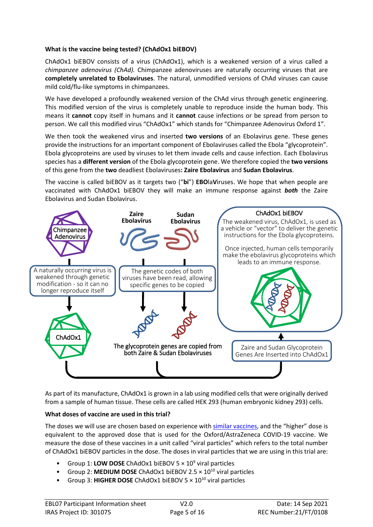# <span id="page-4-0"></span>**What is the vaccine being tested? (ChAdOx1 biEBOV)**

ChAdOx1 biEBOV consists of a virus (ChAdOx1), which is a weakened version of a virus called a *chimpanzee adenovirus (ChAd).* Chimpanzee adenoviruses are naturally occurring viruses that are **completely unrelated to Ebolaviruses**. The natural, unmodified versions of ChAd viruses can cause mild cold/flu-like symptoms in chimpanzees.

We have developed a profoundly weakened version of the ChAd virus through genetic engineering. This modified version of the virus is completely unable to reproduce inside the human body. This means it **cannot** copy itself in humans and it **cannot** cause infections or be spread from person to person. We call this modified virus "ChAdOx1" which stands for "Chimpanzee Adenovirus Oxford 1".

We then took the weakened virus and inserted **two versions** of an Ebolavirus gene. These genes provide the instructions for an important component of Ebolaviruses called the Ebola "glycoprotein". Ebola glycoproteins are used by viruses to let them invade cells and cause infection. Each Ebolavirus species has a **different version** of the Ebola glycoprotein gene. We therefore copied the **two versions** of this gene from the **two** deadliest Ebolaviruses**: Zaire Ebolavirus** and **Sudan Ebolavirus**.

The vaccine is called biEBOV as it targets two ("**bi**") **EBO**la**V**iruses. We hope that when people are vaccinated with ChAdOx1 biEBOV they will make an immune response against *both* the Zaire Ebolavirus and Sudan Ebolavirus.



As part of its manufacture, ChAdOx1 is grown in a lab using modified cells that were originally derived from a sample of human tissue. These cells are called HEK 293 (human embryonic kidney 293) cells.

# <span id="page-4-1"></span>**What doses of vaccine are used in this trial?**

The doses we will use are chosen based on experience with [similar vaccines](#page-5-0), and the "higher" dose is equivalent to the approved dose that is used for the Oxford/AstraZeneca COVID-19 vaccine. We measure the dose of these vaccines in a unit called "viral particles" which refers to the total number of ChAdOx1 biEBOV particles in the dose. The doses in viral particles that we are using in this trial are:

- Group 1: LOW DOSE ChAdOx1 biEBOV 5  $\times$  10<sup>9</sup> viral particles
- Group 2: MEDIUM DOSE ChAdOx1 biEBOV 2.5  $\times$  10<sup>10</sup> viral particles
- Group 3: HIGHER DOSE ChAdOx1 biEBOV 5  $\times$  10<sup>10</sup> viral particles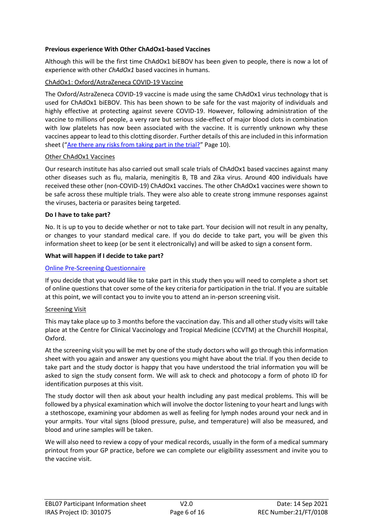## <span id="page-5-0"></span>**Previous experience With Other ChAdOx1-based Vaccines**

Although this will be the first time ChAdOx1 biEBOV has been given to people, there is now a lot of experience with other *ChAdOx1* based vaccines in humans.

# <span id="page-5-1"></span>ChAdOx1: Oxford/AstraZeneca COVID-19 Vaccine

The Oxford/AstraZeneca COVID-19 vaccine is made using the same ChAdOx1 virus technology that is used for ChAdOx1 biEBOV. This has been shown to be safe for the vast majority of individuals and highly effective at protecting against severe COVID-19. However, following administration of the vaccine to millions of people, a very rare but serious side-effect of major blood clots in combination with low platelets has now been associated with the vaccine. It is currently unknown why these vaccines appear to lead to this clotting disorder. Further details of this are included in this information sheet ("[Are there any risks from taking part in the trial?](#page-9-0)" Pag[e 10\)](#page-8-0).

## <span id="page-5-2"></span>Other ChAdOx1 Vaccines

Our research institute has also carried out small scale trials of ChAdOx1 based vaccines against many other diseases such as flu, malaria, meningitis B, TB and Zika virus. Around 400 individuals have received these other (non-COVID-19) ChAdOx1 vaccines. The other ChAdOx1 vaccines were shown to be safe across these multiple trials. They were also able to create strong immune responses against the viruses, bacteria or parasites being targeted.

# <span id="page-5-3"></span>**Do I have to take part?**

No. It is up to you to decide whether or not to take part. Your decision will not result in any penalty, or changes to your standard medical care. If you do decide to take part, you will be given this information sheet to keep (or be sent it electronically) and will be asked to sign a consent form.

## <span id="page-5-4"></span>**What will happen if I decide to take part?**

# [Online Pre-Screening Questionnaire](https://oxford.onlinesurveys.ac.uk/ebl07-pre-screen-questionnaire)

If you decide that you would like to take part in this study then you will need to complete a short set of online questions that cover some of the key criteria for participation in the trial. If you are suitable at this point, we will contact you to invite you to attend an in-person screening visit.

## Screening Visit

This may take place up to 3 months before the vaccination day. This and all other study visits will take place at the Centre for Clinical Vaccinology and Tropical Medicine (CCVTM) at the Churchill Hospital, Oxford.

At the screening visit you will be met by one of the study doctors who will go through this information sheet with you again and answer any questions you might have about the trial. If you then decide to take part and the study doctor is happy that you have understood the trial information you will be asked to sign the study consent form. We will ask to check and photocopy a form of photo ID for identification purposes at this visit.

The study doctor will then ask about your health including any past medical problems. This will be followed by a physical examination which will involve the doctor listening to your heart and lungs with a stethoscope, examining your abdomen as well as feeling for lymph nodes around your neck and in your armpits. Your vital signs (blood pressure, pulse, and temperature) will also be measured, and blood and urine samples will be taken.

We will also need to review a copy of your medical records, usually in the form of a medical summary printout from your GP practice, before we can complete our eligibility assessment and invite you to the vaccine visit.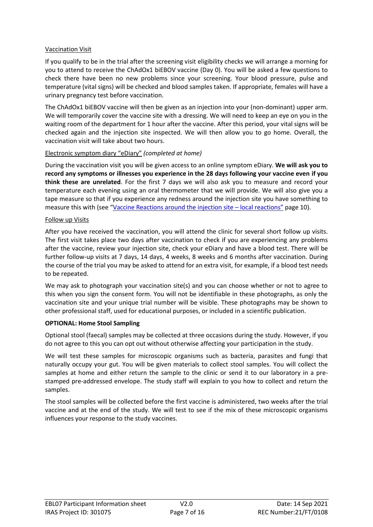# Vaccination Visit

If you qualify to be in the trial after the screening visit eligibility checks we will arrange a morning for you to attend to receive the ChAdOx1 biEBOV vaccine (Day 0). You will be asked a few questions to check there have been no new problems since your screening. Your blood pressure, pulse and temperature (vital signs) will be checked and blood samples taken. If appropriate, females will have a urinary pregnancy test before vaccination.

The ChAdOx1 biEBOV vaccine will then be given as an injection into your (non-dominant) upper arm. We will temporarily cover the vaccine site with a dressing. We will need to keep an eye on you in the waiting room of the department for 1 hour after the vaccine. After this period, your vital signs will be checked again and the injection site inspected. We will then allow you to go home. Overall, the vaccination visit will take about two hours.

# Electronic symptom diary "eDiary" *(completed at home)*

During the vaccination visit you will be given access to an online symptom eDiary. **We will ask you to record any symptoms or illnesses you experience in the 28 days following your vaccine even if you think these are unrelated**. For the first 7 days we will also ask you to measure and record your temperature each evening using an oral thermometer that we will provide. We will also give you a tape measure so that if you experience any redness around the injection site you have something to measure this with (see "[Vaccine Reactions around the injection site](#page-9-1) – local reactions" page [10\)](#page-9-1).

## Follow up Visits

After you have received the vaccination, you will attend the clinic for several short follow up visits. The first visit takes place two days after vaccination to check if you are experiencing any problems after the vaccine, review your injection site, check your eDiary and have a blood test. There will be further follow-up visits at 7 days, 14 days, 4 weeks, 8 weeks and 6 months after vaccination. During the course of the trial you may be asked to attend for an extra visit, for example, if a blood test needs to be repeated.

We may ask to photograph your vaccination site(s) and you can choose whether or not to agree to this when you sign the consent form. You will not be identifiable in these photographs, as only the vaccination site and your unique trial number will be visible. These photographs may be shown to other professional staff, used for educational purposes, or included in a scientific publication.

# <span id="page-6-0"></span>**OPTIONAL: Home Stool Sampling**

Optional stool (faecal) samples may be collected at three occasions during the study. However, if you do not agree to this you can opt out without otherwise affecting your participation in the study.

We will test these samples for microscopic organisms such as bacteria, parasites and fungi that naturally occupy your gut. You will be given materials to collect stool samples. You will collect the samples at home and either return the sample to the clinic or send it to our laboratory in a prestamped pre-addressed envelope. The study staff will explain to you how to collect and return the samples.

The stool samples will be collected before the first vaccine is administered, two weeks after the trial vaccine and at the end of the study. We will test to see if the mix of these microscopic organisms influences your response to the study vaccines.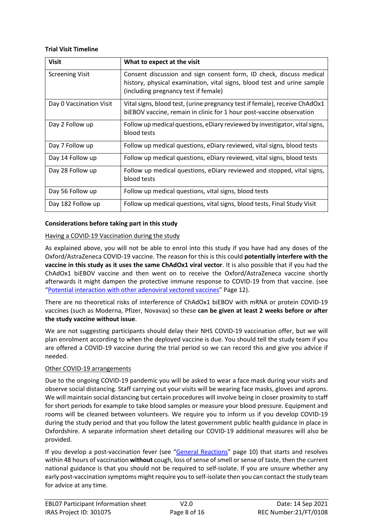## <span id="page-7-0"></span>**Trial Visit Timeline**

| <b>Visit</b>            | What to expect at the visit                                                                                                                        |
|-------------------------|----------------------------------------------------------------------------------------------------------------------------------------------------|
| <b>Screening Visit</b>  | Consent discussion and sign consent form, ID check, discuss medical<br>history, physical examination, vital signs, blood test and urine sample     |
|                         | (including pregnancy test if female)                                                                                                               |
| Day 0 Vaccination Visit | Vital signs, blood test, (urine pregnancy test if female), receive ChAdOx1<br>biEBOV vaccine, remain in clinic for 1 hour post-vaccine observation |
| Day 2 Follow up         | Follow up medical questions, eDiary reviewed by investigator, vital signs,<br>blood tests                                                          |
| Day 7 Follow up         | Follow up medical questions, eDiary reviewed, vital signs, blood tests                                                                             |
| Day 14 Follow up        | Follow up medical questions, eDiary reviewed, vital signs, blood tests                                                                             |
| Day 28 Follow up        | Follow up medical questions, eDiary reviewed and stopped, vital signs,<br>blood tests                                                              |
| Day 56 Follow up        | Follow up medical questions, vital signs, blood tests                                                                                              |
| Day 182 Follow up       | Follow up medical questions, vital signs, blood tests, Final Study Visit                                                                           |

# <span id="page-7-1"></span>**Considerations before taking part in this study**

# <span id="page-7-2"></span>Having a COVID-19 Vaccination during the study

As explained above, you will not be able to enrol into this study if you have had any doses of the Oxford/AstraZeneca COVID-19 vaccine. The reason for this is this could **potentially interfere with the vaccine in this study as it uses the same ChAdOx1 viral vector**. It is also possible that if you had the ChAdOx1 biEBOV vaccine and then went on to receive the Oxford/AstraZeneca vaccine shortly afterwards it might dampen the protective immune response to COVID-19 from that vaccine. (see "[Potential interaction with other adenoviral vectored vaccines](#page-11-0)" Page [12\)](#page-11-0).

There are no theoretical risks of interference of ChAdOx1 biEBOV with mRNA or protein COVID-19 vaccines (such as Moderna, Pfizer, Novavax) so these **can be given at least 2 weeks before or after the study vaccine without issue**.

We are not suggesting participants should delay their NHS COVID-19 vaccination offer, but we will plan enrolment according to when the deployed vaccine is due. You should tell the study team if you are offered a COVID-19 vaccine during the trial period so we can record this and give you advice if needed.

## <span id="page-7-3"></span>Other COVID-19 arrangements

Due to the ongoing COVID-19 pandemic you will be asked to wear a face mask during your visits and observe social distancing. Staff carrying out your visits will be wearing face masks, gloves and aprons. We will maintain social distancing but certain procedures will involve being in closer proximity to staff for short periods for example to take blood samples or measure your blood pressure. Equipment and rooms will be cleaned between volunteers. We require you to inform us if you develop COVID-19 during the study period and that you follow the latest government public health guidance in place in Oxfordshire. A separate information sheet detailing our COVID-19 additional measures will also be provided.

If you develop a post-vaccination fever (see "[General Reactions](#page-9-2)" page [10\)](#page-9-2) that starts and resolves within 48 hours of vaccination **without** cough, loss of sense of smell or sense of taste, then the current national guidance is that you should not be required to self-isolate. If you are unsure whether any early post-vaccination symptoms might require you to self-isolate then you can contact the study team for advice at any time.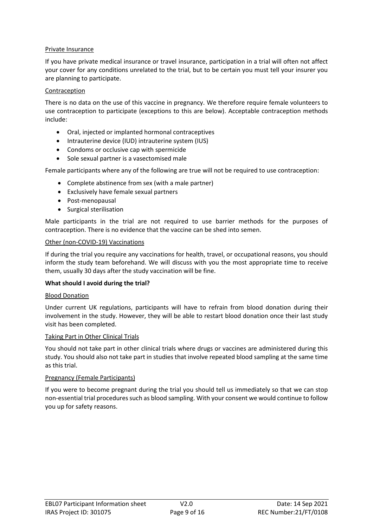# <span id="page-8-1"></span>Private Insurance

If you have private medical insurance or travel insurance, participation in a trial will often not affect your cover for any conditions unrelated to the trial, but to be certain you must tell your insurer you are planning to participate.

# <span id="page-8-2"></span>Contraception

There is no data on the use of this vaccine in pregnancy. We therefore require female volunteers to use contraception to participate (exceptions to this are below). Acceptable contraception methods include:

- Oral, injected or implanted hormonal contraceptives
- Intrauterine device (IUD) intrauterine system (IUS)
- Condoms or occlusive cap with spermicide
- Sole sexual partner is a vasectomised male

Female participants where any of the following are true will not be required to use contraception:

- Complete abstinence from sex (with a male partner)
- Exclusively have female sexual partners
- Post-menopausal
- Surgical sterilisation

Male participants in the trial are not required to use barrier methods for the purposes of contraception. There is no evidence that the vaccine can be shed into semen.

#### <span id="page-8-3"></span>Other (non-COVID-19) Vaccinations

If during the trial you require any vaccinations for health, travel, or occupational reasons, you should inform the study team beforehand. We will discuss with you the most appropriate time to receive them, usually 30 days after the study vaccination will be fine.

## <span id="page-8-4"></span>**What should I avoid during the trial?**

## <span id="page-8-5"></span>Blood Donation

Under current UK regulations, participants will have to refrain from blood donation during their involvement in the study. However, they will be able to restart blood donation once their last study visit has been completed.

## <span id="page-8-6"></span>Taking Part in Other Clinical Trials

You should not take part in other clinical trials where drugs or vaccines are administered during this study. You should also not take part in studies that involve repeated blood sampling at the same time as this trial.

## <span id="page-8-7"></span>Pregnancy (Female Participants)

<span id="page-8-0"></span>If you were to become pregnant during the trial you should tell us immediately so that we can stop non-essential trial procedures such as blood sampling. With your consent we would continue to follow you up for safety reasons.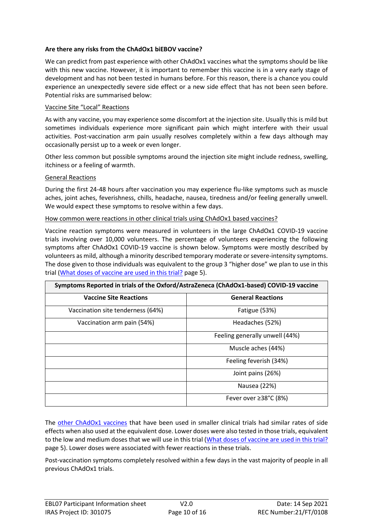# <span id="page-9-0"></span>**Are there any risks from the ChAdOx1 biEBOV vaccine?**

We can predict from past experience with other ChAdOx1 vaccines what the symptoms should be like with this new vaccine. However, it is important to remember this vaccine is in a very early stage of development and has not been tested in humans before. For this reason, there is a chance you could experience an unexpectedly severe side effect or a new side effect that has not been seen before. Potential risks are summarised below:

#### <span id="page-9-1"></span>Vaccine Site "Local" Reactions

As with any vaccine, you may experience some discomfort at the injection site. Usually this is mild but sometimes individuals experience more significant pain which might interfere with their usual activities. Post-vaccination arm pain usually resolves completely within a few days although may occasionally persist up to a week or even longer.

Other less common but possible symptoms around the injection site might include redness, swelling, itchiness or a feeling of warmth.

#### <span id="page-9-2"></span>General Reactions

During the first 24-48 hours after vaccination you may experience flu-like symptoms such as muscle aches, joint aches, feverishness, chills, headache, nausea, tiredness and/or feeling generally unwell. We would expect these symptoms to resolve within a few days.

<span id="page-9-3"></span>How common were reactions in other clinical trials using ChAdOx1 based vaccines?

Vaccine reaction symptoms were measured in volunteers in the large ChAdOx1 COVID-19 vaccine trials involving over 10,000 volunteers. The percentage of volunteers experiencing the following symptoms after ChAdOx1 COVID-19 vaccine is shown below. Symptoms were mostly described by volunteers as mild, although a minority described temporary moderate or severe-intensity symptoms. The dose given to those individuals was equivalent to the group 3 "higher dose" we plan to use in this trial [\(What doses of vaccine are used in this trial?](#page-4-1) page [5\)](#page-4-1).

| Symptoms Reported in trials of the Oxford/AstraZeneca (ChAdOx1-based) COVID-19 vaccine |                                |  |  |
|----------------------------------------------------------------------------------------|--------------------------------|--|--|
| <b>Vaccine Site Reactions</b>                                                          | <b>General Reactions</b>       |  |  |
| Vaccination site tenderness (64%)                                                      | Fatigue (53%)                  |  |  |
| Vaccination arm pain (54%)                                                             | Headaches (52%)                |  |  |
|                                                                                        | Feeling generally unwell (44%) |  |  |
|                                                                                        | Muscle aches (44%)             |  |  |
|                                                                                        | Feeling feverish (34%)         |  |  |
|                                                                                        | Joint pains (26%)              |  |  |
|                                                                                        | Nausea (22%)                   |  |  |
|                                                                                        | Fever over $\geq$ 38°C (8%)    |  |  |

The other [ChAdOx1 vaccines](#page-5-2) that have been used in smaller clinical trials had similar rates of side effects when also used at the equivalent dose. Lower doses were also tested in those trials, equivalent to the low and medium doses that we will use in this trial [\(What doses of vaccine are](#page-4-1) used in this trial? page [5\)](#page-4-1). Lower doses were associated with fewer reactions in these trials.

Post-vaccination symptoms completely resolved within a few days in the vast majority of people in all previous ChAdOx1 trials.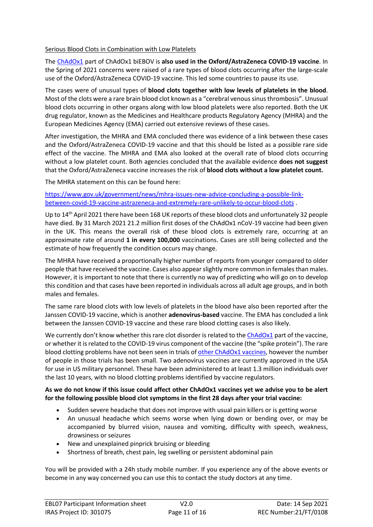# <span id="page-10-0"></span>Serious Blood Clots in Combination with Low Platelets

The [ChAdOx1](#page-4-0) part of ChAdOx1 biEBOV is **also used in the Oxford/AstraZeneca COVID-19 vaccine**. In the Spring of 2021 concerns were raised of a rare types of blood clots occurring after the large-scale use of the Oxford/AstraZeneca COVID-19 vaccine. This led some countries to pause its use.

The cases were of unusual types of **blood clots together with low levels of platelets in the blood**. Most of the clots were a rare brain blood clot known as a "cerebral venoussinusthrombosis". Unusual blood clots occurring in other organs along with low blood platelets were also reported. Both the UK drug regulator, known as the Medicines and Healthcare products Regulatory Agency (MHRA) and the European Medicines Agency (EMA) carried out extensive reviews of these cases.

After investigation, the MHRA and EMA concluded there was evidence of a link between these cases and the Oxford/AstraZeneca COVID-19 vaccine and that this should be listed as a possible rare side effect of the vaccine. The MHRA and EMA also looked at the overall rate of blood clots occurring without a low platelet count. Both agencies concluded that the available evidence **does not suggest** that the Oxford/AstraZeneca vaccine increases the risk of **blood clots without a low platelet count.**

The MHRA statement on this can be found here:

[https://www.gov.uk/government/news/mhra-issues-new-advice-concluding-a-possible-link](https://www.gov.uk/government/news/mhra-issues-new-advice-concluding-a-possible-link-between-covid-19-vaccine-astrazeneca-and-extremely-rare-unlikely-to-occur-blood-clots)[between-covid-19-vaccine-astrazeneca-and-extremely-rare-unlikely-to-occur-blood-clots](https://www.gov.uk/government/news/mhra-issues-new-advice-concluding-a-possible-link-between-covid-19-vaccine-astrazeneca-and-extremely-rare-unlikely-to-occur-blood-clots) .

Up to 14<sup>th</sup> April 2021 there have been 168 UK reports of these blood clots and unfortunately 32 people have died. By 31 March 2021 21.2 million first doses of the ChAdOx1 nCoV-19 vaccine had been given in the UK. This means the overall risk of these blood clots is extremely rare, occurring at an approximate rate of around **1 in every 100,000** vaccinations. Cases are still being collected and the estimate of how frequently the condition occurs may change.

The MHRA have received a proportionally higher number of reports from younger compared to older people that have received the vaccine. Cases also appear slightly more common in females than males. However, it is important to note that there is currently no way of predicting who will go on to develop this condition and that cases have been reported in individuals across all adult age groups, and in both males and females.

The same rare blood clots with low levels of platelets in the blood have also been reported after the Janssen COVID-19 vaccine, which is another **adenovirus-based** vaccine. The EMA has concluded a link between the Janssen COVID-19 vaccine and these rare blood clotting cases is also likely.

We currently don't know whether this rare clot disorder is related to the [ChAdOx1](#page-4-0) part of the vaccine, or whether it isrelated to the COVID-19 virus component of the vaccine (the "spike protein"). The rare blood clotting problems have not been seen in trials of other [ChAdOx1](#page-5-2) vaccines, however the number of people in those trials has been small. Two adenovirus vaccines are currently approved in the USA for use in US military personnel. These have been administered to at least 1.3 million individuals over the last 10 years, with no blood clotting problems identified by vaccine regulators.

# As we do not know if this issue could affect other ChAdOx1 vaccines yet we advise you to be alert **for the following possible blood clot symptoms in the first 28 days after your trial vaccine:**

- Sudden severe headache that does not improve with usual pain killers or is getting worse
- An unusual headache which seems worse when lying down or bending over, or may be accompanied by blurred vision, nausea and vomiting, difficulty with speech, weakness, drowsiness or seizures
- New and unexplained pinprick bruising or bleeding
- Shortness of breath, chest pain, leg swelling or persistent abdominal pain

You will be provided with a 24h study mobile number. If you experience any of the above events or become in any way concerned you can use this to contact the study doctors at any time.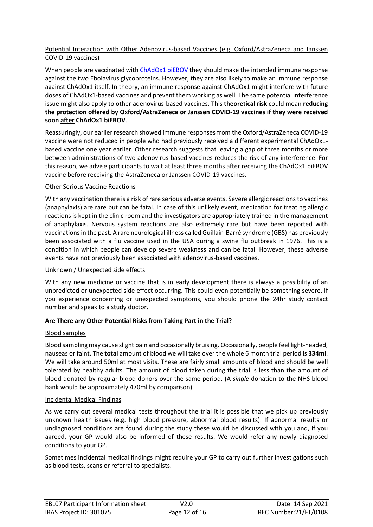# <span id="page-11-0"></span>Potential Interaction with Other Adenovirus-based Vaccines (e.g. Oxford/AstraZeneca and Janssen COVID-19 vaccines)

When people are vaccinated wit[h ChAdOx1 biEBOV](#page-4-0) they should make the intended immune response against the two Ebolavirus glycoproteins. However, they are also likely to make an immune response against ChAdOx1 itself. In theory, an immune response against ChAdOx1 might interfere with future doses of ChAdOx1-based vaccines and prevent them working as well. The same potential interference issue might also apply to other adenovirus-based vaccines. This **theoretical risk** could mean **reducing the protection offered by Oxford/AstraZeneca or Janssen COVID-19 vaccines if they were received soon after ChAdOx1 biEBOV**.

Reassuringly, our earlier research showed immune responses from the Oxford/AstraZeneca COVID-19 vaccine were not reduced in people who had previously received a different experimental ChAdOx1 based vaccine one year earlier. Other research suggests that leaving a gap of three months or more between administrations of two adenovirus-based vaccines reduces the risk of any interference. For this reason, we advise participants to wait at least three months after receiving the ChAdOx1 biEBOV vaccine before receiving the AstraZeneca or Janssen COVID-19 vaccines.

# <span id="page-11-1"></span>Other Serious Vaccine Reactions

With any vaccination there is a risk of rare serious adverse events. Severe allergic reactions to vaccines (anaphylaxis) are rare but can be fatal. In case of this unlikely event, medication for treating allergic reactions is kept in the clinic room and the investigators are appropriately trained in the management of anaphylaxis. Nervous system reactions are also extremely rare but have been reported with vaccinationsin the past. A rare neurological illness called Guillain-Barré syndrome (GBS) has previously been associated with a flu vaccine used in the USA during a swine flu outbreak in 1976. This is a condition in which people can develop severe weakness and can be fatal. However, these adverse events have not previously been associated with adenovirus-based vaccines.

# <span id="page-11-2"></span>Unknown / Unexpected side effects

With any new medicine or vaccine that is in early development there is always a possibility of an unpredicted or unexpected side effect occurring. This could even potentially be something severe. If you experience concerning or unexpected symptoms, you should phone the 24hr study contact number and speak to a study doctor.

# <span id="page-11-3"></span>**Are There any Other Potential Risks from Taking Part in the Trial?**

# <span id="page-11-4"></span>Blood samples

Blood sampling may cause slight pain and occasionally bruising. Occasionally, people feel light-headed, nauseas or faint. The **total** amount of blood we will take over the whole 6 month trial period is **334ml**. We will take around 50ml at most visits. These are fairly small amounts of blood and should be well tolerated by healthy adults. The amount of blood taken during the trial is less than the amount of blood donated by regular blood donors over the same period. (A *single* donation to the NHS blood bank would be approximately 470ml by comparison)

## <span id="page-11-5"></span>Incidental Medical Findings

As we carry out several medical tests throughout the trial it is possible that we pick up previously unknown health issues (e.g. high blood pressure, abnormal blood results). If abnormal results or undiagnosed conditions are found during the study these would be discussed with you and, if you agreed, your GP would also be informed of these results. We would refer any newly diagnosed conditions to your GP.

Sometimes incidental medical findings might require your GP to carry out further investigations such as blood tests, scans or referral to specialists.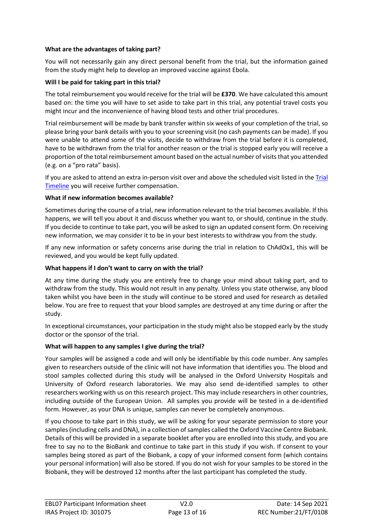# <span id="page-12-1"></span>**What are the advantages of taking part?**

You will not necessarily gain any direct personal benefit from the trial, but the information gained from the study might help to develop an improved vaccine against Ebola.

# <span id="page-12-0"></span>**Will I be paid for taking part in this trial?**

The total reimbursement you would receive for the trial will be **£370**. We have calculated this amount based on: the time you will have to set aside to take part in this trial, any potential travel costs you might incur and the inconvenience of having blood tests and other trial procedures.

Trial reimbursement will be made by bank transfer within six weeks of your completion of the trial, so please bring your bank details with you to your screening visit (no cash payments can be made). If you were unable to attend some of the visits, decide to withdraw from the trial before it is completed, have to be withdrawn from the trial for another reason or the trial is stopped early you will receive a proportion of the total reimbursement amount based on the actual number of visits that you attended (e.g. on a "pro rata" basis).

If you are asked to attend an extra in-person visit over and above the scheduled visit listed in the [Trial](#page-7-0)  [Timeline](#page-7-0) you will receive further compensation.

# <span id="page-12-2"></span>**What if new information becomes available?**

Sometimes during the course of a trial, new information relevant to the trial becomes available. If this happens, we will tell you about it and discuss whether you want to, or should, continue in the study. If you decide to continue to take part, you will be asked to sign an updated consent form. On receiving new information, we may consider it to be in your best interests to withdraw you from the study.

If any new information or safety concerns arise during the trial in relation to ChAdOx1, this will be reviewed, and you would be kept fully updated.

# <span id="page-12-3"></span>**What happens if I don't want to carry on with the trial?**

At any time during the study you are entirely free to change your mind about taking part, and to withdraw from the study. This would not result in any penalty. Unless you state otherwise, any blood taken whilst you have been in the study will continue to be stored and used for research as detailed below. You are free to request that your blood samples are destroyed at any time during or after the study.

In exceptional circumstances, your participation in the study might also be stopped early by the study doctor or the sponsor of the trial.

# <span id="page-12-4"></span>**What will happen to any samples I give during the trial?**

Your samples will be assigned a code and will only be identifiable by this code number. Any samples given to researchers outside of the clinic will not have information that identifies you. The blood and stool samples collected during this study will be analysed in the Oxford University Hospitals and University of Oxford research laboratories. We may also send de-identified samples to other researchers working with us on this research project. This may include researchers in other countries, including outside of the European Union. All samples you provide will be tested in a de-identified form. However, as your DNA is unique, samples can never be completely anonymous.

If you choose to take part in this study, we will be asking for your separate permission to store your samples(including cells and DNA), in a collection of samples called the Oxford Vaccine Centre Biobank. Details of this will be provided in a separate booklet after you are enrolled into this study, and you are free to say no to the BioBank and continue to take part in this study if you wish. If consent to your samples being stored as part of the Biobank, a copy of your informed consent form (which contains your personal information) will also be stored. If you do not wish for your samples to be stored in the Biobank, they will be destroyed 12 months after the last participant has completed the study.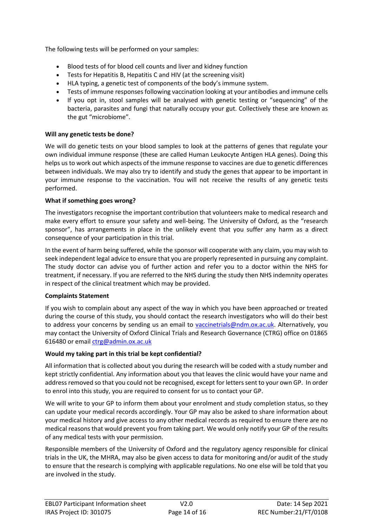The following tests will be performed on your samples:

- Blood tests of for blood cell counts and liver and kidney function
- Tests for Hepatitis B, Hepatitis C and HIV (at the screening visit)
- HLA typing, a genetic test of components of the body's immune system.
- Tests of immune responses following vaccination looking at your antibodies and immune cells
- If you opt in, stool samples will be analysed with genetic testing or "sequencing" of the bacteria, parasites and fungi that naturally occupy your gut. Collectively these are known as the gut "microbiome".

## <span id="page-13-0"></span>**Will any genetic tests be done?**

We will do genetic tests on your blood samples to look at the patterns of genes that regulate your own individual immune response (these are called Human Leukocyte Antigen HLA genes). Doing this helps us to work out which aspects of the immune response to vaccines are due to genetic differences between individuals. We may also try to identify and study the genes that appear to be important in your immune response to the vaccination. You will not receive the results of any genetic tests performed.

#### <span id="page-13-1"></span>**What if something goes wrong?**

The investigators recognise the important contribution that volunteers make to medical research and make every effort to ensure your safety and well-being. The University of Oxford, as the "research sponsor", has arrangements in place in the unlikely event that you suffer any harm as a direct consequence of your participation in this trial.

In the event of harm being suffered, while the sponsor will cooperate with any claim, you may wish to seek independent legal advice to ensure that you are properly represented in pursuing any complaint. The study doctor can advise you of further action and refer you to a doctor within the NHS for treatment, if necessary. If you are referred to the NHS during the study then NHS indemnity operates in respect of the clinical treatment which may be provided.

## <span id="page-13-2"></span>**Complaints Statement**

If you wish to complain about any aspect of the way in which you have been approached or treated during the course of this study, you should contact the research investigators who will do their best to address your concerns by sending us an email to [vaccinetrials@ndm.ox.ac.uk.](mailto:vaccinetrials@ndm.ox.ac.uk) Alternatively, you may contact the University of Oxford Clinical Trials and Research Governance (CTRG) office on 01865 616480 or email [ctrg@admin.ox.ac.uk](mailto:ctrg@admin.ox.ac.uk)

## <span id="page-13-3"></span>**Would my taking part in this trial be kept confidential?**

All information that is collected about you during the research will be coded with a study number and kept strictly confidential. Any information about you that leaves the clinic would have your name and address removed so that you could not be recognised, except for letters sent to your own GP. In order to enrol into this study, you are required to consent for us to contact your GP.

We will write to your GP to inform them about your enrolment and study completion status, so they can update your medical records accordingly. Your GP may also be asked to share information about your medical history and give access to any other medical records as required to ensure there are no medical reasons that would prevent you from taking part. We would only notify your GP of the results of any medical tests with your permission.

Responsible members of the University of Oxford and the regulatory agency responsible for clinical trials in the UK, the MHRA, may also be given access to data for monitoring and/or audit of the study to ensure that the research is complying with applicable regulations. No one else will be told that you are involved in the study.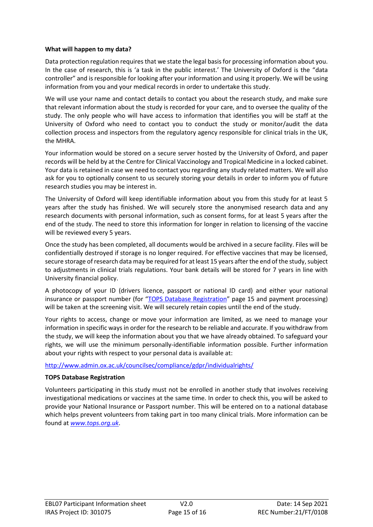## <span id="page-14-0"></span>**What will happen to my data?**

Data protection regulation requires that we state the legal basis for processing information about you. In the case of research, this is 'a task in the public interest.' The University of Oxford is the "data controller" and is responsible for looking after your information and using it properly. We will be using information from you and your medical records in order to undertake this study.

We will use your name and contact details to contact you about the research study, and make sure that relevant information about the study is recorded for your care, and to oversee the quality of the study. The only people who will have access to information that identifies you will be staff at the University of Oxford who need to contact you to conduct the study or monitor/audit the data collection process and inspectors from the regulatory agency responsible for clinical trials in the UK, the MHRA.

Your information would be stored on a secure server hosted by the University of Oxford, and paper records will be held by at the Centre for Clinical Vaccinology and Tropical Medicine in a locked cabinet. Your data is retained in case we need to contact you regarding any study related matters. We will also ask for you to optionally consent to us securely storing your details in order to inform you of future research studies you may be interest in.

The University of Oxford will keep identifiable information about you from this study for at least 5 years after the study has finished. We will securely store the anonymised research data and any research documents with personal information, such as consent forms, for at least 5 years after the end of the study. The need to store this information for longer in relation to licensing of the vaccine will be reviewed every 5 years.

Once the study has been completed, all documents would be archived in a secure facility. Files will be confidentially destroyed if storage is no longer required. For effective vaccines that may be licensed, secure storage of research data may be required for at least 15 years after the end of the study, subject to adjustments in clinical trials regulations. Your bank details will be stored for 7 years in line with University financial policy.

A photocopy of your ID (drivers licence, passport or national ID card) and either your national insurance or passport number (for "[TOPS Database Registration](#page-14-1)" page [15](#page-14-1) and payment processing) will be taken at the screening visit. We will securely retain copies until the end of the study.

Your rights to access, change or move your information are limited, as we need to manage your information in specific ways in order for the research to be reliable and accurate. If you withdraw from the study, we will keep the information about you that we have already obtained. To safeguard your rights, we will use the minimum personally-identifiable information possible. Further information about your rights with respect to your personal data is available at:

# <http://www.admin.ox.ac.uk/councilsec/compliance/gdpr/individualrights/>

# <span id="page-14-1"></span>**TOPS Database Registration**

Volunteers participating in this study must not be enrolled in another study that involves receiving investigational medications or vaccines at the same time. In order to check this, you will be asked to provide your National Insurance or Passport number. This will be entered on to a national database which helps prevent volunteers from taking part in too many clinical trials. More information can be found at *[www.tops.org.uk](http://www.tops.org.uk/)*.